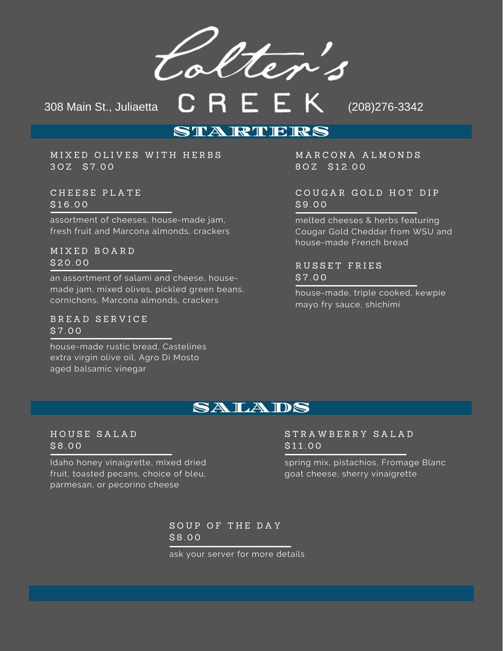Colter's

308 Main St., Juliaetta **CREEK** (208)276-3342

### STARTIERS

MIXED OLIVES WITH HERBS 3 O Z \$ 7 . 0 0

C H E E S E P L A T E  $$16.00$ 

assortment of cheeses, house-made jam, fresh fruit and Marcona almonds, crackers

M I X E D B O A R D  $$20.00$ 

an assortment of salami and cheese, housemade jam, mixed olives, pickled green beans, cornichons, Marcona almonds, crackers

B R E A D S E R V I C E \$ 7 . 0 0

house-made rustic bread, Castelines extra virgin olive oil, Agro Di Mosto aged balsamic vinegar

M A R C O N A A L M O N D S 80Z \$12.00

COUGAR GOLD HOT DIP \$ 9 . 0 0

melted cheeses & herbs featuring Cougar Gold Cheddar from WSU and house-made French bread

R U S S E T F R I E S \$ 7 . 0 0

house-made, triple cooked, kewpie mayo fry sauce, shichimi

### SALADS

#### H O U S E S A L A D \$ 8 . 0 0

Idaho honey vinaigrette, mixed dried fruit, toasted pecans, choice of bleu, parmesan, or pecorino cheese

#### S T R A W B E R R Y S A L A D  $$11.00$

spring mix, pistachios, Fromage Blanc goat cheese, sherry vinaigrette

SOUP OF THE DAY \$ 8 . 0 0

ask your server for more details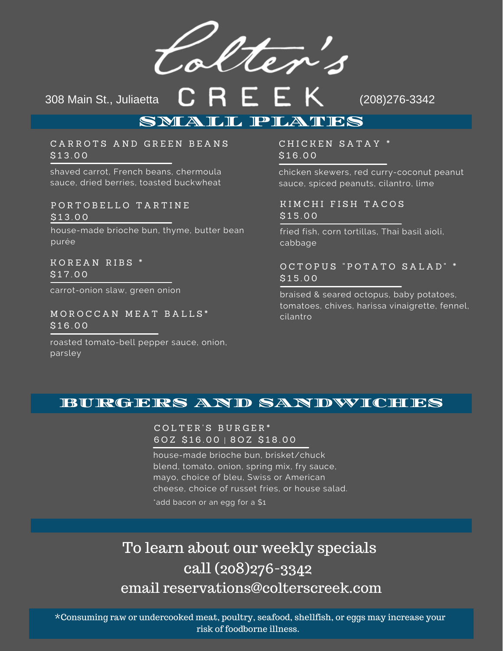Colter's

308 Main St., Juliaetta **CREEK** (208)276-3342

# SMALL PLATES

CARROTS AND GREEN BEANS \$ 1 3 . 0 0

shaved carrot, French beans, chermoula sauce, dried berries, toasted buckwheat

P O R T O B E L L O T A R T I N E \$ 1 3 . 0 0

house-made brioche bun, thyme, butter bean purée

KOREAN RIBS \*  $$17.00$ 

carrot-onion slaw, green onion

MOROCCAN MEAT BALLS\*  $$16.00$ 

roasted tomato-bell pepper sauce, onion, parsley

CHICKEN SATAY \* \$ 1 6 . 0 0

chicken skewers, red curry-coconut peanut sauce, spiced peanuts, cilantro, lime

KIMCHI FISH TACOS  $$15,00$ 

fried fish, corn tortillas, Thai basil aioli, cabbage

OCTOPUS "POTATO SALAD" \* \$ 1 5 . 0 0

braised & seared octopus, baby potatoes, tomatoes, chives, harissa vinaigrette, fennel, cilantro

### BURGERS AND SANDWICHES

#### C O L T E R ' S B U R G E R \* 60Z \$16.00 | 80Z \$18.00

house-made brioche bun, brisket/chuck blend, tomato, onion, spring mix, fry sauce, mayo, choice of bleu, Swiss or American cheese, choice of russet fries, or house salad.

\*add bacon or an egg for a \$1

# To learn about our weekly specials call (208)276-3342 email reservations@colterscreek.com

\*Consuming raw or undercooked meat, poultry, seafood, shellfish, or eggs may increase your risk of foodborne illness.